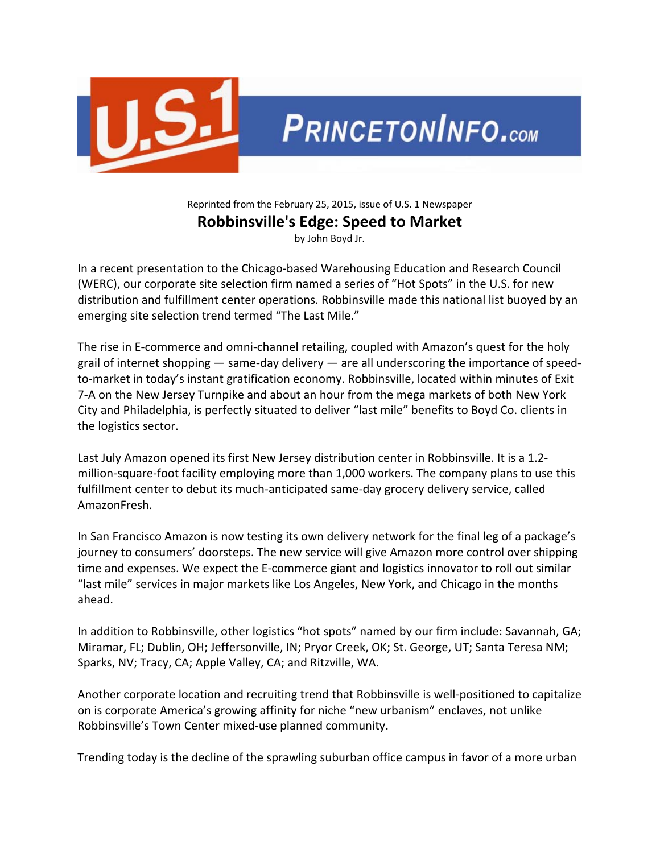

## Reprinted from the February 25, 2015, issue of U.S. 1 Newspaper **Robbinsville's Edge: Speed to Market**

by John Boyd Jr.

In a recent presentation to the Chicago‐based Warehousing Education and Research Council (WERC), our corporate site selection firm named a series of "Hot Spots" in the U.S. for new distribution and fulfillment center operations. Robbinsville made this national list buoyed by an emerging site selection trend termed "The Last Mile."

The rise in E‐commerce and omni‐channel retailing, coupled with Amazon's quest for the holy grail of internet shopping — same‐day delivery — are all underscoring the importance of speed‐ to-market in today's instant gratification economy. Robbinsville, located within minutes of Exit 7‐A on the New Jersey Turnpike and about an hour from the mega markets of both New York City and Philadelphia, is perfectly situated to deliver "last mile" benefits to Boyd Co. clients in the logistics sector.

Last July Amazon opened its first New Jersey distribution center in Robbinsville. It is a 1.2‐ million-square-foot facility employing more than 1,000 workers. The company plans to use this fulfillment center to debut its much‐anticipated same‐day grocery delivery service, called AmazonFresh.

In San Francisco Amazon is now testing its own delivery network for the final leg of a package's journey to consumers' doorsteps. The new service will give Amazon more control over shipping time and expenses. We expect the E‐commerce giant and logistics innovator to roll out similar "last mile" services in major markets like Los Angeles, New York, and Chicago in the months ahead.

In addition to Robbinsville, other logistics "hot spots" named by our firm include: Savannah, GA; Miramar, FL; Dublin, OH; Jeffersonville, IN; Pryor Creek, OK; St. George, UT; Santa Teresa NM; Sparks, NV; Tracy, CA; Apple Valley, CA; and Ritzville, WA.

Another corporate location and recruiting trend that Robbinsville is well‐positioned to capitalize on is corporate America's growing affinity for niche "new urbanism" enclaves, not unlike Robbinsville's Town Center mixed‐use planned community.

Trending today is the decline of the sprawling suburban office campus in favor of a more urban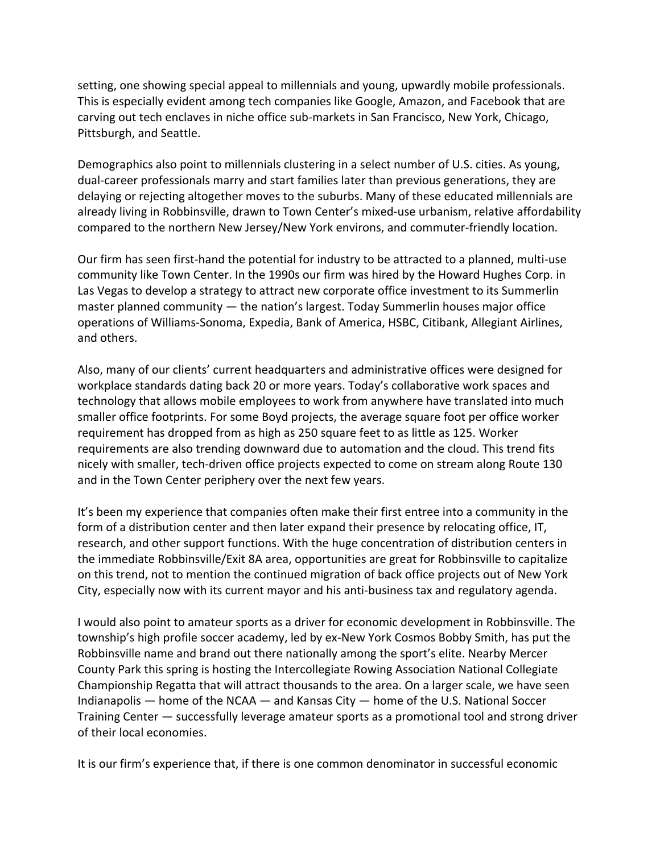setting, one showing special appeal to millennials and young, upwardly mobile professionals. This is especially evident among tech companies like Google, Amazon, and Facebook that are carving out tech enclaves in niche office sub‐markets in San Francisco, New York, Chicago, Pittsburgh, and Seattle.

Demographics also point to millennials clustering in a select number of U.S. cities. As young, dual‐career professionals marry and start families later than previous generations, they are delaying or rejecting altogether moves to the suburbs. Many of these educated millennials are already living in Robbinsville, drawn to Town Center's mixed-use urbanism, relative affordability compared to the northern New Jersey/New York environs, and commuter‐friendly location.

Our firm has seen first‐hand the potential for industry to be attracted to a planned, multi‐use community like Town Center. In the 1990s our firm was hired by the Howard Hughes Corp. in Las Vegas to develop a strategy to attract new corporate office investment to its Summerlin master planned community — the nation's largest. Today Summerlin houses major office operations of Williams‐Sonoma, Expedia, Bank of America, HSBC, Citibank, Allegiant Airlines, and others.

Also, many of our clients' current headquarters and administrative offices were designed for workplace standards dating back 20 or more years. Today's collaborative work spaces and technology that allows mobile employees to work from anywhere have translated into much smaller office footprints. For some Boyd projects, the average square foot per office worker requirement has dropped from as high as 250 square feet to as little as 125. Worker requirements are also trending downward due to automation and the cloud. This trend fits nicely with smaller, tech‐driven office projects expected to come on stream along Route 130 and in the Town Center periphery over the next few years.

It's been my experience that companies often make their first entree into a community in the form of a distribution center and then later expand their presence by relocating office, IT, research, and other support functions. With the huge concentration of distribution centers in the immediate Robbinsville/Exit 8A area, opportunities are great for Robbinsville to capitalize on this trend, not to mention the continued migration of back office projects out of New York City, especially now with its current mayor and his anti‐business tax and regulatory agenda.

I would also point to amateur sports as a driver for economic development in Robbinsville. The township's high profile soccer academy, led by ex‐New York Cosmos Bobby Smith, has put the Robbinsville name and brand out there nationally among the sport's elite. Nearby Mercer County Park this spring is hosting the Intercollegiate Rowing Association National Collegiate Championship Regatta that will attract thousands to the area. On a larger scale, we have seen Indianapolis — home of the NCAA — and Kansas City — home of the U.S. National Soccer Training Center — successfully leverage amateur sports as a promotional tool and strong driver of their local economies.

It is our firm's experience that, if there is one common denominator in successful economic